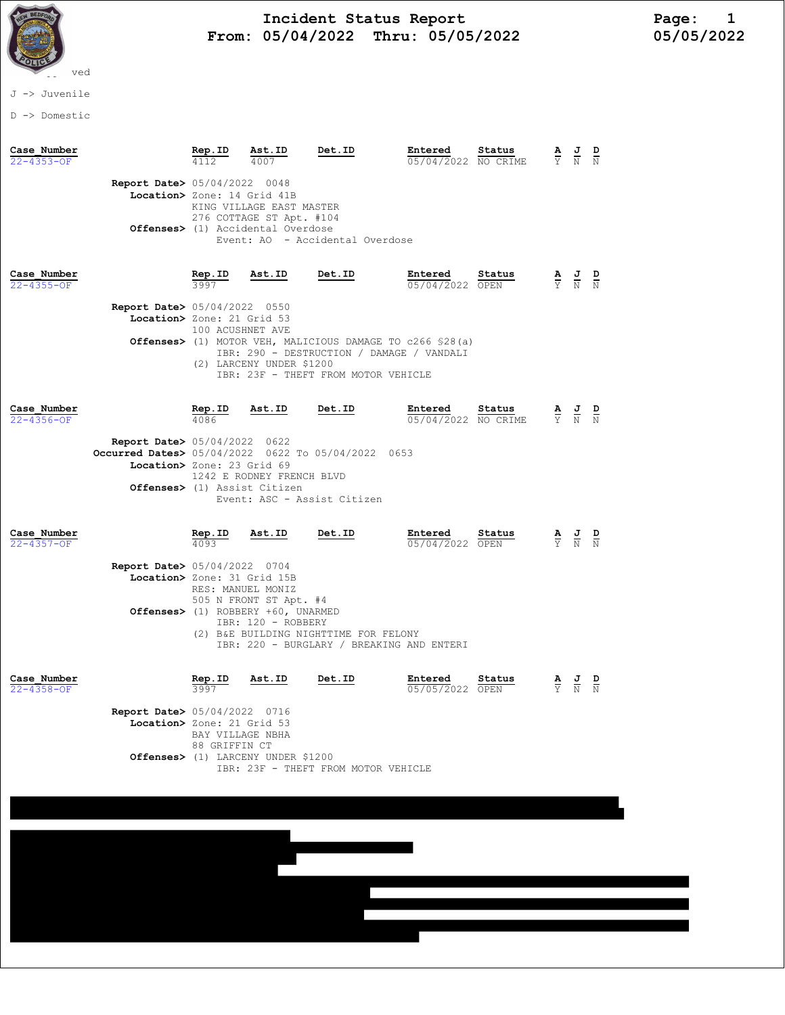

## Incident Status Report<br>05/04/2022 Thru: 05/05/2022 105/05/05/2022 From: 05/04/2022 Thru: 05/05/2022

J -> Juvenile

D -> Domestic

| Case Number<br>$22 - 4353 - OF$ |                                                                                                                            | Rep.ID                                              | Ast.ID<br>4007                                                                                                    | Det.ID                                                                                                                                                  | Entered<br>05/04/2022 NO CRIME | Status | $\frac{\mathbf{A}}{\mathbf{Y}}$ | $\frac{J}{N}$                                                   | $\frac{D}{N}$ |
|---------------------------------|----------------------------------------------------------------------------------------------------------------------------|-----------------------------------------------------|-------------------------------------------------------------------------------------------------------------------|---------------------------------------------------------------------------------------------------------------------------------------------------------|--------------------------------|--------|---------------------------------|-----------------------------------------------------------------|---------------|
|                                 | <b>Report Date&gt; 05/04/2022 0048</b><br>Location> Zone: 14 Grid 41B                                                      |                                                     | KING VILLAGE EAST MASTER<br>276 COTTAGE ST Apt. #104<br>Offenses> (1) Accidental Overdose                         | Event: AO - Accidental Overdose                                                                                                                         |                                |        |                                 |                                                                 |               |
| Case Number<br>$22 - 4355 - OF$ | Report Date> 05/04/2022 0550<br>Location> Zone: 21 Grid 53                                                                 | Rep.ID<br>3997<br>100 ACUSHNET AVE                  | Ast.ID<br>(2) LARCENY UNDER \$1200                                                                                | Det.ID<br>Offenses> (1) MOTOR VEH, MALICIOUS DAMAGE TO c266 \$28(a)<br>IBR: 290 - DESTRUCTION / DAMAGE / VANDALI<br>IBR: 23F - THEFT FROM MOTOR VEHICLE | Entered<br>05/04/2022 OPEN     | Status |                                 | $\frac{\mathbf{A}}{\mathbf{Y}}$ $\frac{\mathbf{J}}{\mathbf{N}}$ | $\frac{D}{N}$ |
| Case Number<br>22-4356-OF       | <b>Report Date&gt; 05/04/2022 0622</b><br>Occurred Dates> 05/04/2022 0622 To 05/04/2022 0653<br>Location> Zone: 23 Grid 69 | <u>Rep.ID</u><br>4086                               | Ast.ID<br>1242 E RODNEY FRENCH BLVD<br>Offenses> (1) Assist Citizen                                               | Det.ID<br>Event: ASC - Assist Citizen                                                                                                                   | Entered<br>05/04/2022 NO CRIME | Status | A<br>$\overline{Y}$             | $\frac{1}{N}$ $\frac{D}{N}$                                     |               |
| Case Number<br>$22 - 4357 - OF$ | <b>Report Date&gt; 05/04/2022 0704</b><br>Location> Zone: 31 Grid 15B                                                      | $rac{\text{Rep. ID}}{4093}$                         | Ast.ID<br>RES: MANUEL MONIZ<br>505 N FRONT ST Apt. #4<br>Offenses> (1) ROBBERY +60, UNARMED<br>IBR: 120 - ROBBERY | Det.ID<br>(2) B&E BUILDING NIGHTTIME FOR FELONY<br>IBR: 220 - BURGLARY / BREAKING AND ENTERI                                                            | Entered<br>05/04/2022 OPEN     | Status |                                 | $\frac{\mathbf{A}}{\mathbf{Y}}$ $\frac{\mathbf{J}}{\mathbf{N}}$ |               |
| Case Number<br>22-4358-OF       | Report Date> 05/04/2022 0716<br>Location> Zone: 21 Grid 53                                                                 | Rep.ID<br>3997<br>BAY VILLAGE NBHA<br>88 GRIFFIN CT | Ast.ID<br>Offenses> (1) LARCENY UNDER \$1200                                                                      | Det.ID<br>IBR: 23F - THEFT FROM MOTOR VEHICLE                                                                                                           | Entered<br>05/05/2022 OPEN     | Status | $\frac{\mathbf{A}}{\mathbf{Y}}$ | $\frac{1}{N}$                                                   |               |
|                                 |                                                                                                                            |                                                     |                                                                                                                   |                                                                                                                                                         |                                |        |                                 |                                                                 |               |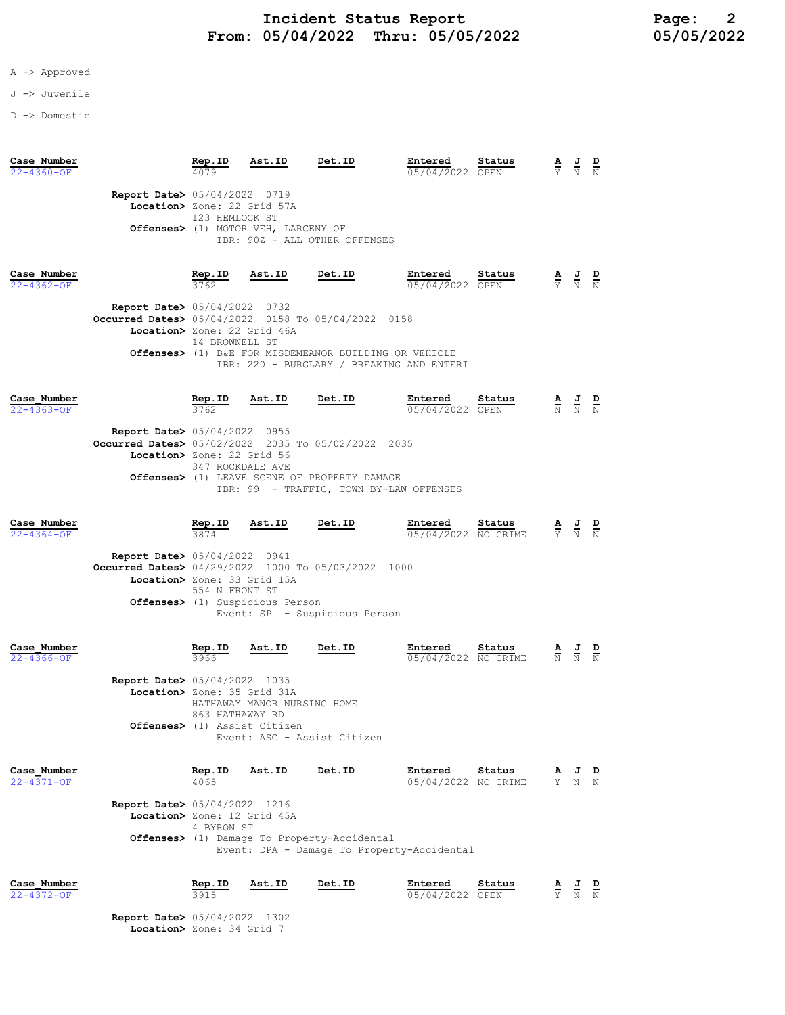- A -> Approved
- J -> Juvenile
- D -> Domestic

| Case Number<br>$22 - 4360 - OF$ |                                                                       | Rep.ID<br>4079                                                                                                                                                                                                                                          | Ast.ID                              | Det.ID                        | Entered<br>05/04/2022 | Status<br>OPEN | $\frac{\mathbf{A}}{\mathbf{Y}}$ | $\frac{J}{N}$ | $\frac{D}{N}$ |
|---------------------------------|-----------------------------------------------------------------------|---------------------------------------------------------------------------------------------------------------------------------------------------------------------------------------------------------------------------------------------------------|-------------------------------------|-------------------------------|-----------------------|----------------|---------------------------------|---------------|---------------|
|                                 | <b>Report Date&gt; 05/04/2022 0719</b><br>Location> Zone: 22 Grid 57A | 123 HEMLOCK ST                                                                                                                                                                                                                                          | Offenses> (1) MOTOR VEH, LARCENY OF | IBR: 90Z - ALL OTHER OFFENSES |                       |                |                                 |               |               |
| Case Number<br>$22 - 4362 - OF$ |                                                                       | Rep.ID<br>3762                                                                                                                                                                                                                                          | Ast.ID                              | Det.ID                        | Entered<br>05/04/2022 | Status<br>OPEN | $rac{\mathbf{A}}{\mathbf{Y}}$   | $\frac{J}{N}$ | $\frac{D}{N}$ |
|                                 |                                                                       | <b>Report Date&gt; 05/04/2022 0732</b><br>Occurred Dates> 05/04/2022 0158 To 05/04/2022 0158<br>Location> Zone: 22 Grid 46A<br>14 BROWNELL ST<br>B&E FOR MISDEMEANOR BUILDING OR VEHICLE<br>Offenses > (1)<br>IBR: 220 - BURGLARY / BREAKING AND ENTERI |                                     |                               |                       |                |                                 |               |               |
| Case Number<br>$22 - 4363 - OF$ |                                                                       | Rep.ID<br>3762                                                                                                                                                                                                                                          | Ast.ID                              | Det.ID                        | Entered<br>05/04/2022 | Status<br>OPEN | $\frac{\mathbf{A}}{\mathrm{N}}$ | $\frac{1}{N}$ | $\frac{D}{N}$ |

| <b>Report Date&gt; 05/04/2022 0955</b>                 |
|--------------------------------------------------------|
| Occurred Dates> 05/02/2022 2035 To 05/02/2022 2035     |
| Location> Zone: 22 Grid 56                             |
| 347 ROCKDALE AVE                                       |
| <b>Offenses&gt;</b> (1) LEAVE SCENE OF PROPERTY DAMAGE |
| IBR: 99 - TRAFFIC, TOWN BY-LAW OFFENSES                |

| Case Number      |                                                    | Rep.ID         | Ast.ID | Det.ID                        | Entered             | Status | <u>AJ</u> |       | ם |
|------------------|----------------------------------------------------|----------------|--------|-------------------------------|---------------------|--------|-----------|-------|---|
| $22 - 4364 - 0F$ |                                                    | 3874           |        |                               | 05/04/2022 NO CRIME |        |           | Y N N |   |
|                  | <b>Report Date&gt; 05/04/2022 0941</b>             |                |        |                               |                     |        |           |       |   |
|                  | Occurred Dates> 04/29/2022 1000 To 05/03/2022 1000 |                |        |                               |                     |        |           |       |   |
|                  | Location> Zone: 33 Grid 15A                        |                |        |                               |                     |        |           |       |   |
|                  |                                                    | 554 N FRONT ST |        |                               |                     |        |           |       |   |
|                  | <b>Offenses&gt;</b> (1) Suspicious Person          |                |        | Event: SP - Suspicious Person |                     |        |           |       |   |

| Case Number<br>$22 - 4366 - OF$ |                                                                       | Rep.ID<br>3966  | Ast.ID                      | Det.ID                      | Entered<br>05/04/2022 NO CRIME | Status             | A<br>$\overline{\text{N}}$ | 프<br>$\overline{N}$ | D<br>N              |
|---------------------------------|-----------------------------------------------------------------------|-----------------|-----------------------------|-----------------------------|--------------------------------|--------------------|----------------------------|---------------------|---------------------|
|                                 | <b>Report Date&gt; 05/04/2022 1035</b><br>Location> Zone: 35 Grid 31A | 863 HATHAWAY RD | HATHAWAY MANOR NURSING HOME |                             |                                |                    |                            |                     |                     |
|                                 | <b>Offenses&gt;</b> (1) Assist Citizen                                |                 |                             | Event: ASC - Assist Citizen |                                |                    |                            |                     |                     |
| Case Number<br>$22 - 4371 - OF$ |                                                                       | Rep.ID<br>4065  | Ast.ID                      | Det.ID                      | Entered<br>05/04/2022          | Status<br>NO CRIME | $\mathbf{A}$<br>Y          | 프<br>N              | $\overline{D}$<br>N |
|                                 | <b>Report Date&gt; 05/04/2022 1216</b>                                |                 |                             |                             |                                |                    |                            |                     |                     |

| <b>Report Date&gt;</b> 05/04/2022 1216                |  |
|-------------------------------------------------------|--|
| Location> Zone: 12 Grid 45A                           |  |
| 4 BYRON ST                                            |  |
| <b>Offenses&gt;</b> (1) Damage To Property-Accidental |  |
| Event: DPA - Damage To Property-Accidental            |  |
|                                                       |  |

| Case Number | Rep.ID                                 | Ast.ID | Det.ID | Entered         | Status |        | AJ D                                       |        |
|-------------|----------------------------------------|--------|--------|-----------------|--------|--------|--------------------------------------------|--------|
| 22-4372-OF  | 3915                                   |        |        | 05/04/2022 OPEN |        | $\sim$ | and the company of the company of<br>Y N N | $\sim$ |
|             | <b>Report Date&gt;</b> 05/04/2022 1302 |        |        |                 |        |        |                                            |        |

Location> Zone: 34 Grid 7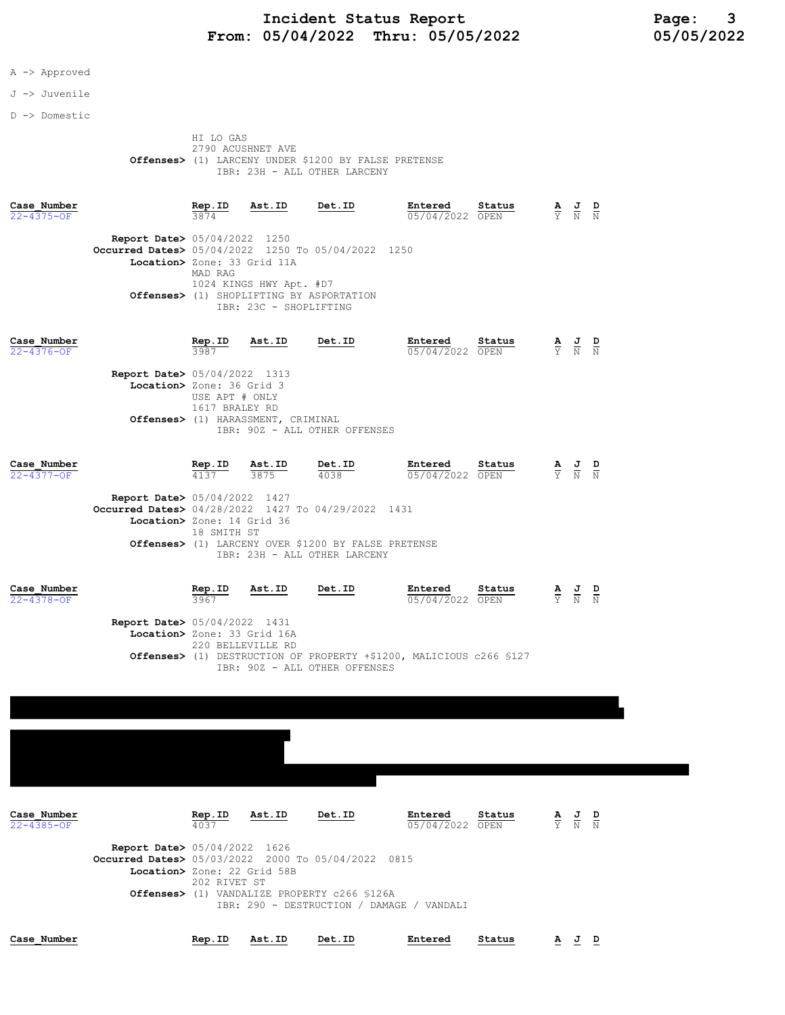## Incident Status Report<br>05/04/2022 Thru: 05/05/2022 105/05/2022 From: 05/04/2022 Thru: 05/05/2022

- A -> Approved
- J -> Juvenile
- D -> Domestic

 HI LO GAS 2790 ACUSHNET AVE Offenses> (1) LARCENY UNDER \$1200 BY FALSE PRETENSE IBR: 23H - ALL OTHER LARCENY

| Case Number<br>22-4375-OF       |                                                                                                                                       | Rep.ID<br>3874                   | Ast.ID                                            | Det.ID                                                                                               | Entered<br>05/04/2022        | Status<br>OPEN | A<br>$\overline{Y}$ | $\frac{J}{N}$ $\frac{D}{N}$                                                                     |               |
|---------------------------------|---------------------------------------------------------------------------------------------------------------------------------------|----------------------------------|---------------------------------------------------|------------------------------------------------------------------------------------------------------|------------------------------|----------------|---------------------|-------------------------------------------------------------------------------------------------|---------------|
|                                 | <b>Report Date&gt; 05/04/2022 1250</b><br><b>Occurred Dates&gt;</b> 05/04/2022 1250 To 05/04/2022 1250<br>Location> Zone: 33 Grid 11A | MAD RAG                          | 1024 KINGS HWY Apt. #D7<br>IBR: 23C - SHOPLIFTING | Offenses> (1) SHOPLIFTING BY ASPORTATION                                                             |                              |                |                     |                                                                                                 |               |
| Case Number<br>22-4376-OF       |                                                                                                                                       | Rep.ID<br>3987                   | Ast.ID                                            | Det.ID                                                                                               | Entered<br>05/04/2022 OPEN   | Status         |                     | $\frac{\mathbf{A}}{\mathbf{Y}}$ $\frac{\mathbf{J}}{\mathbf{N}}$                                 | $\frac{D}{N}$ |
|                                 | <b>Report Date&gt;</b> 05/04/2022 1313<br>Location> Zone: 36 Grid 3                                                                   | USE APT # ONLY<br>1617 BRALEY RD | Offenses> (1) HARASSMENT, CRIMINAL                | IBR: 90Z - ALL OTHER OFFENSES                                                                        |                              |                |                     |                                                                                                 |               |
| Case Number<br>22-4377-OF       |                                                                                                                                       | Rep.ID<br>4137                   | Ast.ID<br>3875                                    | Det.ID<br>4038                                                                                       | Entered<br>05/04/2022 OPEN   | Status         |                     | $\frac{\mathbf{A}}{\mathbf{Y}}$ $\frac{\mathbf{J}}{\mathbf{N}}$ $\frac{\mathbf{D}}{\mathbf{N}}$ |               |
|                                 | <b>Report Date&gt; 05/04/2022 1427</b><br><b>Occurred Dates&gt;</b> 04/28/2022 1427 To 04/29/2022 1431<br>Location> Zone: 14 Grid 36  | 18 SMITH ST                      |                                                   | Offenses> (1) LARCENY OVER \$1200 BY FALSE PRETENSE<br>IBR: 23H - ALL OTHER LARCENY                  |                              |                |                     |                                                                                                 |               |
| Case Number<br>22-4378-OF       |                                                                                                                                       | Rep.ID<br>3967                   | Ast.ID                                            | Det.ID                                                                                               | Entered<br>05/04/2022 OPEN   | Status         |                     | $\frac{\mathbf{A}}{\mathbf{Y}}$ $\frac{\mathbf{J}}{\mathbf{N}}$                                 | $\frac{D}{N}$ |
|                                 | <b>Report Date&gt;</b> 05/04/2022 1431<br>Location> Zone: 33 Grid 16A                                                                 |                                  | 220 BELLEVILLE RD                                 | Offenses> (1) DESTRUCTION OF PROPERTY +\$1200, MALICIOUS c266 \$127<br>IBR: 90Z - ALL OTHER OFFENSES |                              |                |                     |                                                                                                 |               |
|                                 |                                                                                                                                       |                                  |                                                   |                                                                                                      |                              |                |                     |                                                                                                 |               |
|                                 |                                                                                                                                       |                                  |                                                   |                                                                                                      |                              |                |                     |                                                                                                 |               |
| Case Number<br>$22 - 4385 - OF$ |                                                                                                                                       | Rep.ID<br>4037                   | Ast.ID                                            | Det.ID                                                                                               | Entered<br>$05/04/2022$ OPEN | Status         |                     | $\frac{\mathbf{A}}{\mathbf{Y}}$ $\frac{\mathbf{J}}{\mathbf{N}}$ $\frac{\mathbf{D}}{\mathbf{N}}$ |               |
|                                 | <b>Report Date&gt; 05/04/2022 1626</b><br>Occurred Dates> 05/03/2022 2000 To 05/04/2022 0815<br>Location> Zone: 22 Grid 58B           | 202 RIVET ST                     |                                                   | Offenses> (1) VANDALIZE PROPERTY c266 \$126A                                                         |                              |                |                     |                                                                                                 |               |

IBR: 290 - DESTRUCTION / DAMAGE / VANDALI

Case\_Number Rep.ID Ast.ID Det.ID Entered Status A J D

| Case Number |
|-------------|
|-------------|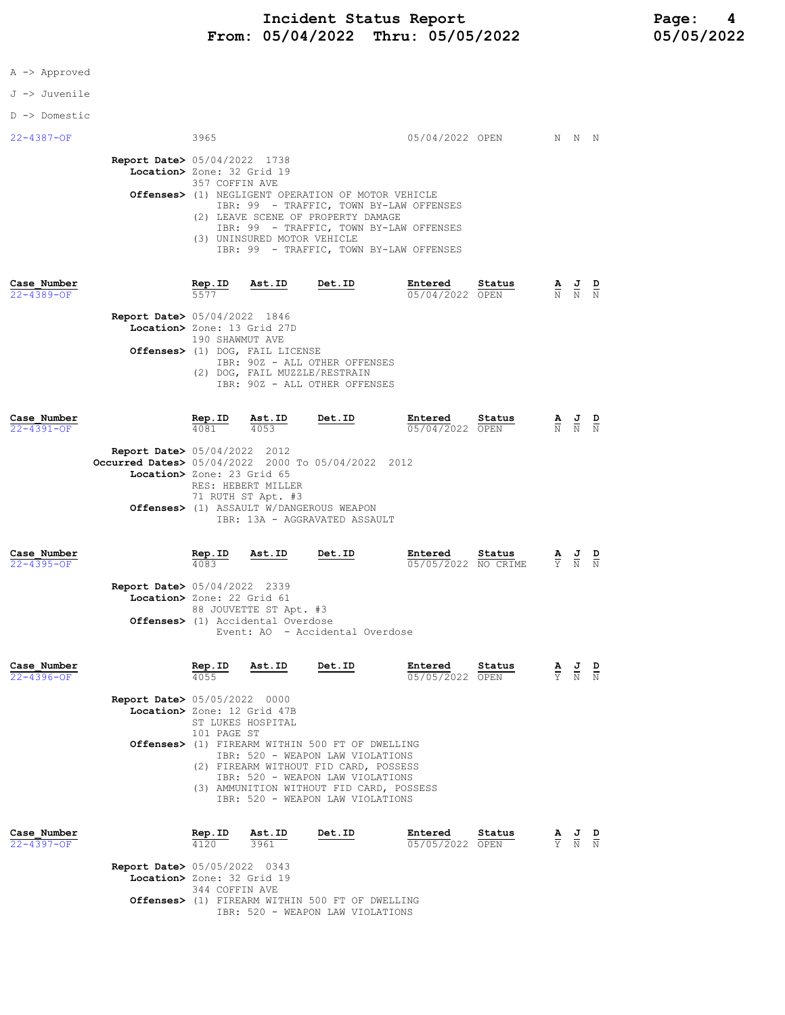|  |  | Approved |
|--|--|----------|
|--|--|----------|

## J -> Juvenile

## D -> Domestic

| 22-4387-OF                      | 3965                                                                                                                                                |                                                                                                                               | 05/04/2022 OPEN N N N |                                                                                                 |  |
|---------------------------------|-----------------------------------------------------------------------------------------------------------------------------------------------------|-------------------------------------------------------------------------------------------------------------------------------|-----------------------|-------------------------------------------------------------------------------------------------|--|
|                                 | <b>Report Date&gt; 05/04/2022 1738</b>                                                                                                              |                                                                                                                               |                       |                                                                                                 |  |
|                                 | Location> Zone: 32 Grid 19                                                                                                                          |                                                                                                                               |                       |                                                                                                 |  |
|                                 | 357 COFFIN AVE<br><b>Offenses&gt;</b> (1) NEGLIGENT OPERATION OF MOTOR VEHICLE<br>(2) LEAVE SCENE OF PROPERTY DAMAGE<br>(3) UNINSURED MOTOR VEHICLE | IBR: 99 - TRAFFIC, TOWN BY-LAW OFFENSES<br>IBR: 99 - TRAFFIC, TOWN BY-LAW OFFENSES<br>IBR: 99 - TRAFFIC, TOWN BY-LAW OFFENSES |                       |                                                                                                 |  |
| Case Number<br>$22 - 4389 - OF$ | Rep.ID Ast.ID Det.ID<br>5577                                                                                                                        | Entered Status<br>05/04/2022 OPEN                                                                                             |                       | $\frac{\mathbf{A}}{\mathbf{N}}$ $\frac{\mathbf{J}}{\mathbf{N}}$ $\frac{\mathbf{D}}{\mathbf{N}}$ |  |
|                                 | <b>Report Date&gt; 05/04/2022 1846</b>                                                                                                              |                                                                                                                               |                       |                                                                                                 |  |
|                                 | Location> Zone: 13 Grid 27D                                                                                                                         |                                                                                                                               |                       |                                                                                                 |  |
|                                 | 190 SHAWMUT AVE<br>Offenses> (1) DOG, FAIL LICENSE<br>IBR: 90Z - ALL OTHER OFFENSES                                                                 |                                                                                                                               |                       |                                                                                                 |  |

|                                                                                                                            |                |                                          | TBR: 90Z - ALL OTHER OFFENSES                                             |                            |        |  |                                                                                                 |  |
|----------------------------------------------------------------------------------------------------------------------------|----------------|------------------------------------------|---------------------------------------------------------------------------|----------------------------|--------|--|-------------------------------------------------------------------------------------------------|--|
| Case Number<br>$22 - 4391 - OF$                                                                                            | Rep.ID<br>4081 | Ast.ID<br>4053                           | Det.ID                                                                    | Entered<br>05/04/2022 OPEN | Status |  | $\frac{\mathbf{A}}{\mathbb{N}}$ $\frac{\mathbf{J}}{\mathbb{N}}$ $\frac{\mathbf{D}}{\mathbb{N}}$ |  |
| <b>Report Date&gt; 05/04/2022 2012</b><br>Occurred Dates> 05/04/2022 2000 To 05/04/2022 2012<br>Location> Zone: 23 Grid 65 |                | RES: HEBERT MILLER<br>71 RUTH ST Apt. #3 | Offenses> (1) ASSAULT W/DANGEROUS WEAPON<br>IBR: 13A - AGGRAVATED ASSAULT |                            |        |  |                                                                                                 |  |

(2) DOG, FAIL MUZZLE/RESTRAIN

| Case Number<br>22-4395-OF |                                             | Rep.ID<br>4083         | Ast.ID | Det.ID                          | Entered | Status<br>05/05/2022 NO CRIME | $\Delta$ | 프<br>Y N N | D |
|---------------------------|---------------------------------------------|------------------------|--------|---------------------------------|---------|-------------------------------|----------|------------|---|
|                           | <b>Report Date&gt; 05/04/2022 2339</b>      |                        |        |                                 |         |                               |          |            |   |
|                           | Location> Zone: 22 Grid 61                  |                        |        |                                 |         |                               |          |            |   |
|                           |                                             | 88 JOUVETTE ST Apt. #3 |        |                                 |         |                               |          |            |   |
|                           | <b>Offenses&gt;</b> (1) Accidental Overdose |                        |        |                                 |         |                               |          |            |   |
|                           |                                             |                        |        | Event: AO - Accidental Overdose |         |                               |          |            |   |
|                           |                                             |                        |        |                                 |         |                               |          |            |   |
|                           |                                             |                        |        |                                 |         |                               |          |            |   |

| Case Number<br>$22 - 4396 - OF$ |                                                                       | Rep.ID<br>4055                                                                                                                                                                                      | Ast.ID            | Det.ID                                          | Entered<br>05/05/2022 | Status<br>OPEN |  | $\frac{\mathbf{A}}{\mathbf{Y}}$ $\frac{\mathbf{J}}{\mathbf{N}}$ $\frac{\mathbf{D}}{\mathbf{N}}$ |  |
|---------------------------------|-----------------------------------------------------------------------|-----------------------------------------------------------------------------------------------------------------------------------------------------------------------------------------------------|-------------------|-------------------------------------------------|-----------------------|----------------|--|-------------------------------------------------------------------------------------------------|--|
|                                 | <b>Report Date&gt; 05/05/2022 0000</b><br>Location> Zone: 12 Grid 47B |                                                                                                                                                                                                     | ST LUKES HOSPITAL |                                                 |                       |                |  |                                                                                                 |  |
|                                 | $Offenses$ $(1)$                                                      |                                                                                                                                                                                                     |                   |                                                 |                       |                |  |                                                                                                 |  |
|                                 |                                                                       | IBR: 520 - WEAPON LAW VIOLATIONS<br>FIREARM WITHOUT FID CARD, POSSESS<br>(2)<br>IBR: 520 - WEAPON LAW VIOLATIONS<br>AMMUNITION WITHOUT FID CARD, POSSESS<br>(3)<br>IBR: 520 - WEAPON LAW VIOLATIONS |                   |                                                 |                       |                |  |                                                                                                 |  |
| Case Number<br>$22 - 4397 - OF$ |                                                                       | Rep.ID<br>4120                                                                                                                                                                                      | Ast.ID<br>3961    | Det.ID                                          | Entered<br>05/05/2022 | Status<br>OPEN |  | $\frac{\mathbf{A}}{\mathbf{Y}}$ $\frac{\mathbf{J}}{\mathbf{N}}$ $\frac{\mathbf{D}}{\mathbf{N}}$ |  |
|                                 | <b>Report Date&gt; 05/05/2022 0343</b><br>Location> Zone: 32 Grid 19  | 344 COFFIN AVE                                                                                                                                                                                      |                   |                                                 |                       |                |  |                                                                                                 |  |
|                                 |                                                                       |                                                                                                                                                                                                     |                   | ACCLILLY 11) DIDDING MIDHITH FAA DE AD BMDIITMA |                       |                |  |                                                                                                 |  |

 Offenses> (1) FIREARM WITHIN 500 FT OF DWELLING IBR: 520 - WEAPON LAW VIOLATIONS